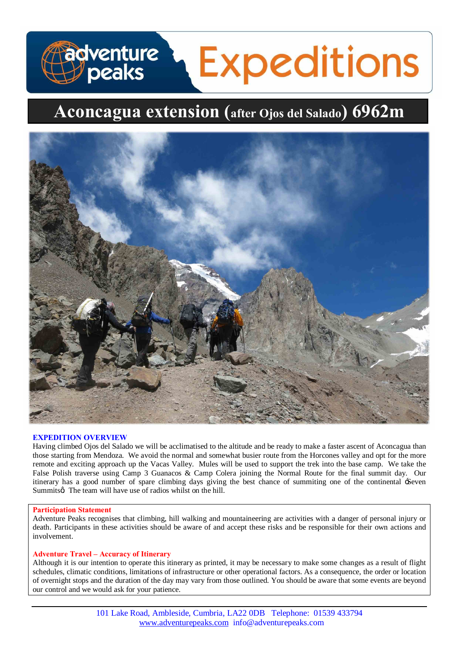# **adventure**<br>D**o**peaks **Expeditions**

# **Aconcagua extension (after Ojos del Salado) 6962m**



# **EXPEDITION OVERVIEW**

Having climbed Ojos del Salado we will be acclimatised to the altitude and be ready to make a faster ascent of Aconcagua than those starting from Mendoza. We avoid the normal and somewhat busier route from the Horcones valley and opt for the more remote and exciting approach up the Vacas Valley. Mules will be used to support the trek into the base camp. We take the False Polish traverse using Camp 3 Guanacos & Camp Colera joining the Normal Route for the final summit day. Our itinerary has a good number of spare climbing days giving the best chance of summiting one of the continental 'Seven Summits The team will have use of radios whilst on the hill.

# **Participation Statement**

Adventure Peaks recognises that climbing, hill walking and mountaineering are activities with a danger of personal injury or death. Participants in these activities should be aware of and accept these risks and be responsible for their own actions and involvement.

# **Adventure Travel – Accuracy of Itinerary**

Although it is our intention to operate this itinerary as printed, it may be necessary to make some changes as a result of flight schedules, climatic conditions, limitations of infrastructure or other operational factors. As a consequence, the order or location of overnight stops and the duration of the day may vary from those outlined. You should be aware that some events are beyond our control and we would ask for your patience.